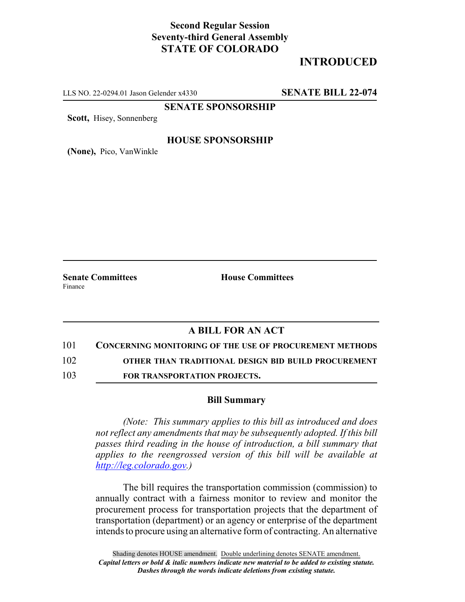# **Second Regular Session Seventy-third General Assembly STATE OF COLORADO**

# **INTRODUCED**

LLS NO. 22-0294.01 Jason Gelender x4330 **SENATE BILL 22-074**

**SENATE SPONSORSHIP**

**Scott,** Hisey, Sonnenberg

#### **HOUSE SPONSORSHIP**

**(None),** Pico, VanWinkle

**Senate Committees House Committees** Finance

### **A BILL FOR AN ACT**

101 **CONCERNING MONITORING OF THE USE OF PROCUREMENT METHODS**

102 **OTHER THAN TRADITIONAL DESIGN BID BUILD PROCUREMENT**

103 **FOR TRANSPORTATION PROJECTS.**

#### **Bill Summary**

*(Note: This summary applies to this bill as introduced and does not reflect any amendments that may be subsequently adopted. If this bill passes third reading in the house of introduction, a bill summary that applies to the reengrossed version of this bill will be available at http://leg.colorado.gov.)*

The bill requires the transportation commission (commission) to annually contract with a fairness monitor to review and monitor the procurement process for transportation projects that the department of transportation (department) or an agency or enterprise of the department intends to procure using an alternative form of contracting. An alternative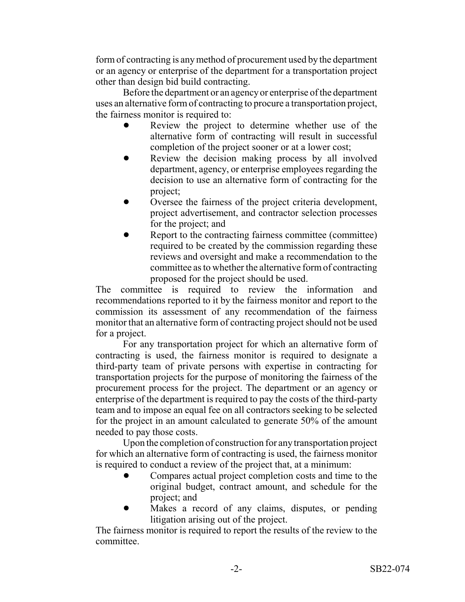form of contracting is any method of procurement used by the department or an agency or enterprise of the department for a transportation project other than design bid build contracting.

Before the department or an agency or enterprise of the department uses an alternative form of contracting to procure a transportation project, the fairness monitor is required to:

- Review the project to determine whether use of the alternative form of contracting will result in successful completion of the project sooner or at a lower cost;
- Review the decision making process by all involved department, agency, or enterprise employees regarding the decision to use an alternative form of contracting for the project;
- Oversee the fairness of the project criteria development, project advertisement, and contractor selection processes for the project; and
- Report to the contracting fairness committee (committee) required to be created by the commission regarding these reviews and oversight and make a recommendation to the committee as to whether the alternative form of contracting proposed for the project should be used.

The committee is required to review the information and recommendations reported to it by the fairness monitor and report to the commission its assessment of any recommendation of the fairness monitor that an alternative form of contracting project should not be used for a project.

For any transportation project for which an alternative form of contracting is used, the fairness monitor is required to designate a third-party team of private persons with expertise in contracting for transportation projects for the purpose of monitoring the fairness of the procurement process for the project. The department or an agency or enterprise of the department is required to pay the costs of the third-party team and to impose an equal fee on all contractors seeking to be selected for the project in an amount calculated to generate 50% of the amount needed to pay those costs.

Upon the completion of construction for any transportation project for which an alternative form of contracting is used, the fairness monitor is required to conduct a review of the project that, at a minimum:

- ! Compares actual project completion costs and time to the original budget, contract amount, and schedule for the project; and
- Makes a record of any claims, disputes, or pending litigation arising out of the project.

The fairness monitor is required to report the results of the review to the committee.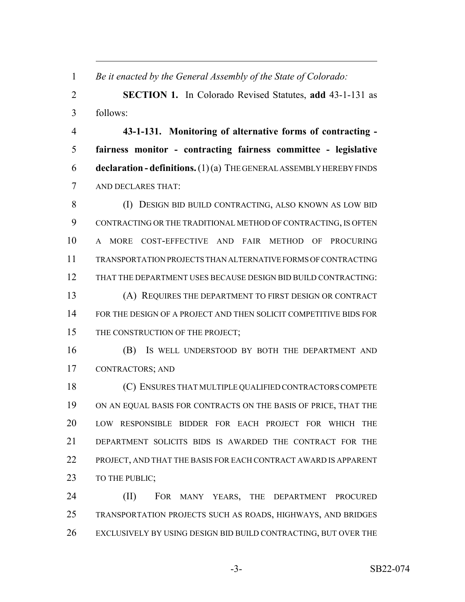*Be it enacted by the General Assembly of the State of Colorado:*

 **SECTION 1.** In Colorado Revised Statutes, **add** 43-1-131 as follows:

 **43-1-131. Monitoring of alternative forms of contracting - fairness monitor - contracting fairness committee - legislative declaration - definitions.** (1) (a) THE GENERAL ASSEMBLY HEREBY FINDS AND DECLARES THAT:

 (I) DESIGN BID BUILD CONTRACTING, ALSO KNOWN AS LOW BID CONTRACTING OR THE TRADITIONAL METHOD OF CONTRACTING, IS OFTEN A MORE COST-EFFECTIVE AND FAIR METHOD OF PROCURING TRANSPORTATION PROJECTS THAN ALTERNATIVE FORMS OF CONTRACTING THAT THE DEPARTMENT USES BECAUSE DESIGN BID BUILD CONTRACTING: (A) REQUIRES THE DEPARTMENT TO FIRST DESIGN OR CONTRACT 14 FOR THE DESIGN OF A PROJECT AND THEN SOLICIT COMPETITIVE BIDS FOR 15 THE CONSTRUCTION OF THE PROJECT;

 (B) IS WELL UNDERSTOOD BY BOTH THE DEPARTMENT AND CONTRACTORS; AND

 (C) ENSURES THAT MULTIPLE QUALIFIED CONTRACTORS COMPETE ON AN EQUAL BASIS FOR CONTRACTS ON THE BASIS OF PRICE, THAT THE LOW RESPONSIBLE BIDDER FOR EACH PROJECT FOR WHICH THE DEPARTMENT SOLICITS BIDS IS AWARDED THE CONTRACT FOR THE PROJECT, AND THAT THE BASIS FOR EACH CONTRACT AWARD IS APPARENT 23 TO THE PUBLIC:

 (II) FOR MANY YEARS, THE DEPARTMENT PROCURED TRANSPORTATION PROJECTS SUCH AS ROADS, HIGHWAYS, AND BRIDGES 26 EXCLUSIVELY BY USING DESIGN BID BUILD CONTRACTING, BUT OVER THE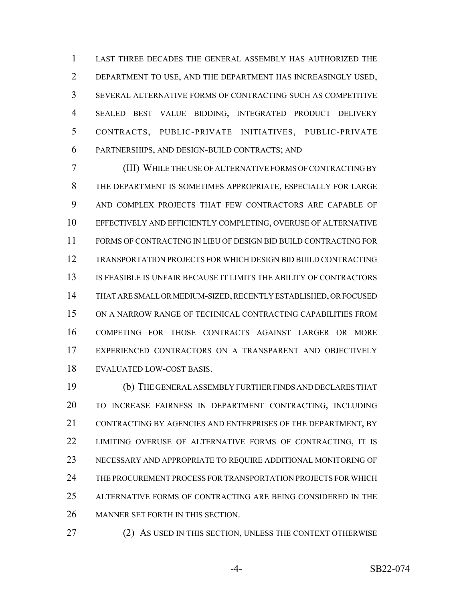LAST THREE DECADES THE GENERAL ASSEMBLY HAS AUTHORIZED THE DEPARTMENT TO USE, AND THE DEPARTMENT HAS INCREASINGLY USED, SEVERAL ALTERNATIVE FORMS OF CONTRACTING SUCH AS COMPETITIVE SEALED BEST VALUE BIDDING, INTEGRATED PRODUCT DELIVERY CONTRACTS, PUBLIC-PRIVATE INITIATIVES, PUBLIC-PRIVATE PARTNERSHIPS, AND DESIGN-BUILD CONTRACTS; AND

 (III) WHILE THE USE OF ALTERNATIVE FORMS OF CONTRACTING BY THE DEPARTMENT IS SOMETIMES APPROPRIATE, ESPECIALLY FOR LARGE AND COMPLEX PROJECTS THAT FEW CONTRACTORS ARE CAPABLE OF EFFECTIVELY AND EFFICIENTLY COMPLETING, OVERUSE OF ALTERNATIVE FORMS OF CONTRACTING IN LIEU OF DESIGN BID BUILD CONTRACTING FOR TRANSPORTATION PROJECTS FOR WHICH DESIGN BID BUILD CONTRACTING 13 IS FEASIBLE IS UNFAIR BECAUSE IT LIMITS THE ABILITY OF CONTRACTORS THAT ARE SMALL OR MEDIUM-SIZED, RECENTLY ESTABLISHED, OR FOCUSED ON A NARROW RANGE OF TECHNICAL CONTRACTING CAPABILITIES FROM COMPETING FOR THOSE CONTRACTS AGAINST LARGER OR MORE EXPERIENCED CONTRACTORS ON A TRANSPARENT AND OBJECTIVELY EVALUATED LOW-COST BASIS.

 (b) THE GENERAL ASSEMBLY FURTHER FINDS AND DECLARES THAT TO INCREASE FAIRNESS IN DEPARTMENT CONTRACTING, INCLUDING CONTRACTING BY AGENCIES AND ENTERPRISES OF THE DEPARTMENT, BY 22 LIMITING OVERUSE OF ALTERNATIVE FORMS OF CONTRACTING, IT IS NECESSARY AND APPROPRIATE TO REQUIRE ADDITIONAL MONITORING OF THE PROCUREMENT PROCESS FOR TRANSPORTATION PROJECTS FOR WHICH ALTERNATIVE FORMS OF CONTRACTING ARE BEING CONSIDERED IN THE MANNER SET FORTH IN THIS SECTION.

27 (2) AS USED IN THIS SECTION, UNLESS THE CONTEXT OTHERWISE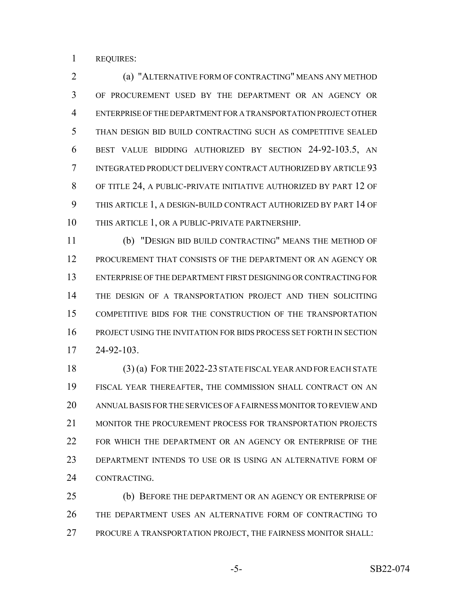REQUIRES:

 (a) "ALTERNATIVE FORM OF CONTRACTING" MEANS ANY METHOD OF PROCUREMENT USED BY THE DEPARTMENT OR AN AGENCY OR ENTERPRISE OF THE DEPARTMENT FOR A TRANSPORTATION PROJECT OTHER THAN DESIGN BID BUILD CONTRACTING SUCH AS COMPETITIVE SEALED BEST VALUE BIDDING AUTHORIZED BY SECTION 24-92-103.5, AN INTEGRATED PRODUCT DELIVERY CONTRACT AUTHORIZED BY ARTICLE 93 OF TITLE 24, A PUBLIC-PRIVATE INITIATIVE AUTHORIZED BY PART 12 OF THIS ARTICLE 1, A DESIGN-BUILD CONTRACT AUTHORIZED BY PART 14 OF THIS ARTICLE 1, OR A PUBLIC-PRIVATE PARTNERSHIP.

 (b) "DESIGN BID BUILD CONTRACTING" MEANS THE METHOD OF PROCUREMENT THAT CONSISTS OF THE DEPARTMENT OR AN AGENCY OR ENTERPRISE OF THE DEPARTMENT FIRST DESIGNING OR CONTRACTING FOR THE DESIGN OF A TRANSPORTATION PROJECT AND THEN SOLICITING COMPETITIVE BIDS FOR THE CONSTRUCTION OF THE TRANSPORTATION PROJECT USING THE INVITATION FOR BIDS PROCESS SET FORTH IN SECTION 24-92-103.

 (3) (a) FOR THE 2022-23 STATE FISCAL YEAR AND FOR EACH STATE FISCAL YEAR THEREAFTER, THE COMMISSION SHALL CONTRACT ON AN ANNUAL BASIS FOR THE SERVICES OF A FAIRNESS MONITOR TO REVIEW AND MONITOR THE PROCUREMENT PROCESS FOR TRANSPORTATION PROJECTS FOR WHICH THE DEPARTMENT OR AN AGENCY OR ENTERPRISE OF THE DEPARTMENT INTENDS TO USE OR IS USING AN ALTERNATIVE FORM OF CONTRACTING.

 (b) BEFORE THE DEPARTMENT OR AN AGENCY OR ENTERPRISE OF THE DEPARTMENT USES AN ALTERNATIVE FORM OF CONTRACTING TO PROCURE A TRANSPORTATION PROJECT, THE FAIRNESS MONITOR SHALL: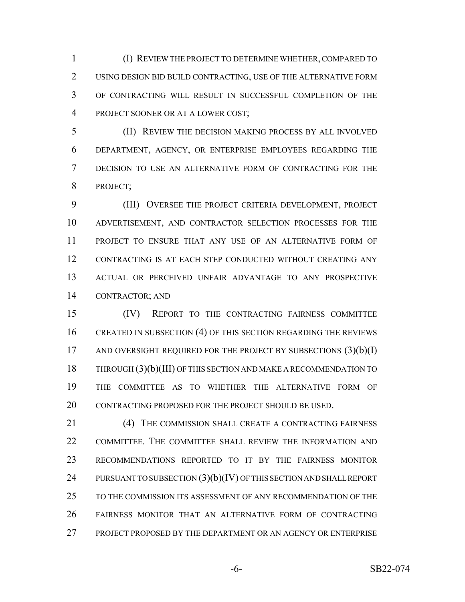(I) REVIEW THE PROJECT TO DETERMINE WHETHER, COMPARED TO USING DESIGN BID BUILD CONTRACTING, USE OF THE ALTERNATIVE FORM OF CONTRACTING WILL RESULT IN SUCCESSFUL COMPLETION OF THE PROJECT SOONER OR AT A LOWER COST;

 (II) REVIEW THE DECISION MAKING PROCESS BY ALL INVOLVED DEPARTMENT, AGENCY, OR ENTERPRISE EMPLOYEES REGARDING THE DECISION TO USE AN ALTERNATIVE FORM OF CONTRACTING FOR THE PROJECT;

 (III) OVERSEE THE PROJECT CRITERIA DEVELOPMENT, PROJECT ADVERTISEMENT, AND CONTRACTOR SELECTION PROCESSES FOR THE PROJECT TO ENSURE THAT ANY USE OF AN ALTERNATIVE FORM OF CONTRACTING IS AT EACH STEP CONDUCTED WITHOUT CREATING ANY ACTUAL OR PERCEIVED UNFAIR ADVANTAGE TO ANY PROSPECTIVE CONTRACTOR; AND

 (IV) REPORT TO THE CONTRACTING FAIRNESS COMMITTEE 16 CREATED IN SUBSECTION (4) OF THIS SECTION REGARDING THE REVIEWS 17 AND OVERSIGHT REQUIRED FOR THE PROJECT BY SUBSECTIONS  $(3)(b)(I)$ 18 THROUGH (3)(b)(III) OF THIS SECTION AND MAKE A RECOMMENDATION TO THE COMMITTEE AS TO WHETHER THE ALTERNATIVE FORM OF 20 CONTRACTING PROPOSED FOR THE PROJECT SHOULD BE USED.

21 (4) THE COMMISSION SHALL CREATE A CONTRACTING FAIRNESS COMMITTEE. THE COMMITTEE SHALL REVIEW THE INFORMATION AND RECOMMENDATIONS REPORTED TO IT BY THE FAIRNESS MONITOR 24 PURSUANT TO SUBSECTION (3)(b)(IV) OF THIS SECTION AND SHALL REPORT TO THE COMMISSION ITS ASSESSMENT OF ANY RECOMMENDATION OF THE FAIRNESS MONITOR THAT AN ALTERNATIVE FORM OF CONTRACTING PROJECT PROPOSED BY THE DEPARTMENT OR AN AGENCY OR ENTERPRISE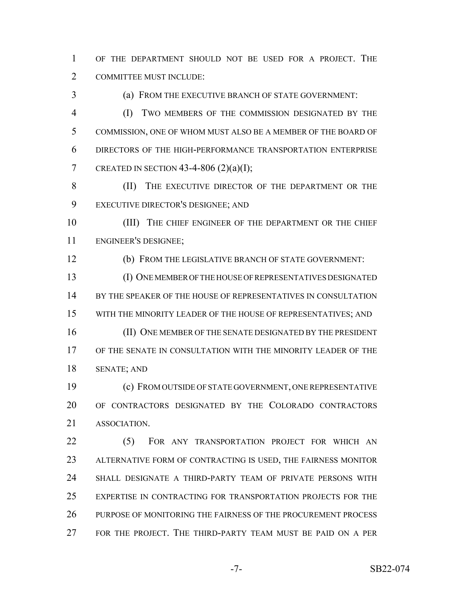OF THE DEPARTMENT SHOULD NOT BE USED FOR A PROJECT. THE COMMITTEE MUST INCLUDE:

 (a) FROM THE EXECUTIVE BRANCH OF STATE GOVERNMENT: (I) TWO MEMBERS OF THE COMMISSION DESIGNATED BY THE COMMISSION, ONE OF WHOM MUST ALSO BE A MEMBER OF THE BOARD OF DIRECTORS OF THE HIGH-PERFORMANCE TRANSPORTATION ENTERPRISE 7 CREATED IN SECTION 43-4-806  $(2)(a)(I);$ 

 (II) THE EXECUTIVE DIRECTOR OF THE DEPARTMENT OR THE EXECUTIVE DIRECTOR'S DESIGNEE; AND

10 (III) THE CHIEF ENGINEER OF THE DEPARTMENT OR THE CHIEF ENGINEER'S DESIGNEE;

(b) FROM THE LEGISLATIVE BRANCH OF STATE GOVERNMENT:

 (I) ONE MEMBER OF THE HOUSE OF REPRESENTATIVES DESIGNATED BY THE SPEAKER OF THE HOUSE OF REPRESENTATIVES IN CONSULTATION WITH THE MINORITY LEADER OF THE HOUSE OF REPRESENTATIVES; AND (II) ONE MEMBER OF THE SENATE DESIGNATED BY THE PRESIDENT

 OF THE SENATE IN CONSULTATION WITH THE MINORITY LEADER OF THE SENATE; AND

 (c) FROM OUTSIDE OF STATE GOVERNMENT, ONE REPRESENTATIVE OF CONTRACTORS DESIGNATED BY THE COLORADO CONTRACTORS ASSOCIATION.

22 (5) FOR ANY TRANSPORTATION PROJECT FOR WHICH AN ALTERNATIVE FORM OF CONTRACTING IS USED, THE FAIRNESS MONITOR SHALL DESIGNATE A THIRD-PARTY TEAM OF PRIVATE PERSONS WITH EXPERTISE IN CONTRACTING FOR TRANSPORTATION PROJECTS FOR THE PURPOSE OF MONITORING THE FAIRNESS OF THE PROCUREMENT PROCESS FOR THE PROJECT. THE THIRD-PARTY TEAM MUST BE PAID ON A PER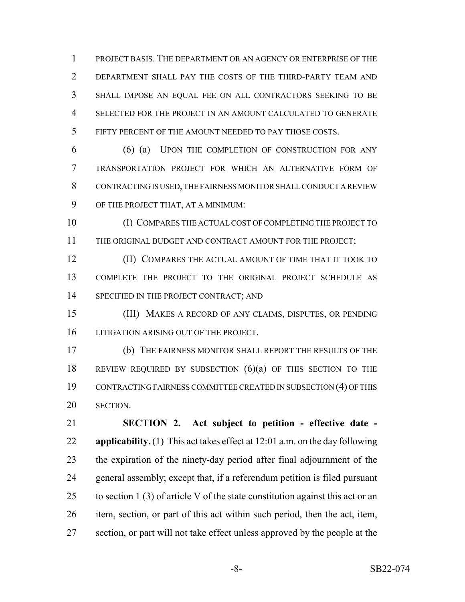PROJECT BASIS. THE DEPARTMENT OR AN AGENCY OR ENTERPRISE OF THE DEPARTMENT SHALL PAY THE COSTS OF THE THIRD-PARTY TEAM AND SHALL IMPOSE AN EQUAL FEE ON ALL CONTRACTORS SEEKING TO BE SELECTED FOR THE PROJECT IN AN AMOUNT CALCULATED TO GENERATE FIFTY PERCENT OF THE AMOUNT NEEDED TO PAY THOSE COSTS.

 (6) (a) UPON THE COMPLETION OF CONSTRUCTION FOR ANY TRANSPORTATION PROJECT FOR WHICH AN ALTERNATIVE FORM OF CONTRACTING IS USED, THE FAIRNESS MONITOR SHALL CONDUCT A REVIEW OF THE PROJECT THAT, AT A MINIMUM:

 (I) COMPARES THE ACTUAL COST OF COMPLETING THE PROJECT TO THE ORIGINAL BUDGET AND CONTRACT AMOUNT FOR THE PROJECT;

**(II) COMPARES THE ACTUAL AMOUNT OF TIME THAT IT TOOK TO**  COMPLETE THE PROJECT TO THE ORIGINAL PROJECT SCHEDULE AS 14 SPECIFIED IN THE PROJECT CONTRACT; AND

 (III) MAKES A RECORD OF ANY CLAIMS, DISPUTES, OR PENDING 16 LITIGATION ARISING OUT OF THE PROJECT.

 (b) THE FAIRNESS MONITOR SHALL REPORT THE RESULTS OF THE REVIEW REQUIRED BY SUBSECTION (6)(a) OF THIS SECTION TO THE CONTRACTING FAIRNESS COMMITTEE CREATED IN SUBSECTION (4) OF THIS SECTION.

 **SECTION 2. Act subject to petition - effective date - applicability.** (1) This act takes effect at 12:01 a.m. on the day following the expiration of the ninety-day period after final adjournment of the general assembly; except that, if a referendum petition is filed pursuant 25 to section 1 (3) of article V of the state constitution against this act or an item, section, or part of this act within such period, then the act, item, section, or part will not take effect unless approved by the people at the